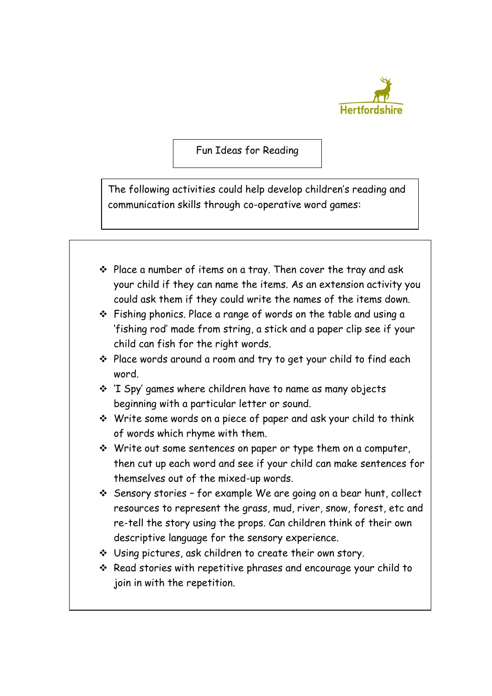

Fun Ideas for Reading

The following activities could help develop children's reading and communication skills through co-operative word games: